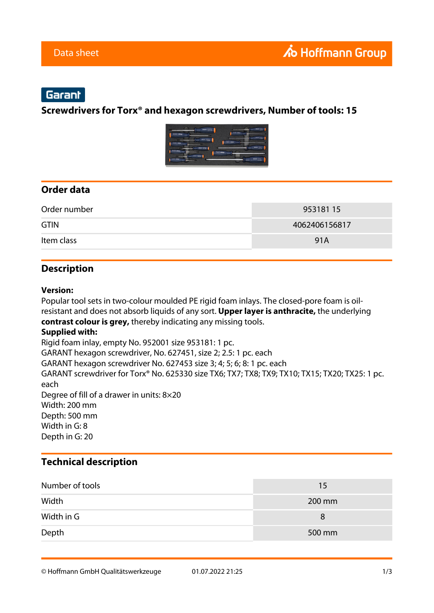# Garant

#### **Screwdrivers for Torx® and hexagon screwdrivers, Number of tools: 15**



## **Order data**

| Order number | 95318115      |
|--------------|---------------|
| <b>GTIN</b>  | 4062406156817 |
| Item class   | 91A           |

#### **Description**

#### **Version:**

Popular tool sets in two-colour moulded PE rigid foam inlays. The closed-pore foam is oilresistant and does not absorb liquids of any sort. **Upper layer is anthracite,** the underlying **contrast colour is grey,** thereby indicating any missing tools. **Supplied with:** Rigid foam inlay, empty No. 952001 size 953181: 1 pc. GARANT hexagon screwdriver, No. 627451, size 2; 2.5: 1 pc. each GARANT hexagon screwdriver No. 627453 size 3; 4; 5; 6; 8: 1 pc. each GARANT screwdriver for Torx® No. 625330 size TX6; TX7; TX8; TX9; TX10; TX15; TX20; TX25: 1 pc. each Degree of fill of a drawer in units: 8×20 Width: 200 mm Depth: 500 mm Width in G: 8 Depth in G: 20

### **Technical description**

| Number of tools | 15     |
|-----------------|--------|
| Width           | 200 mm |
| Width in G      | 8      |
| Depth           | 500 mm |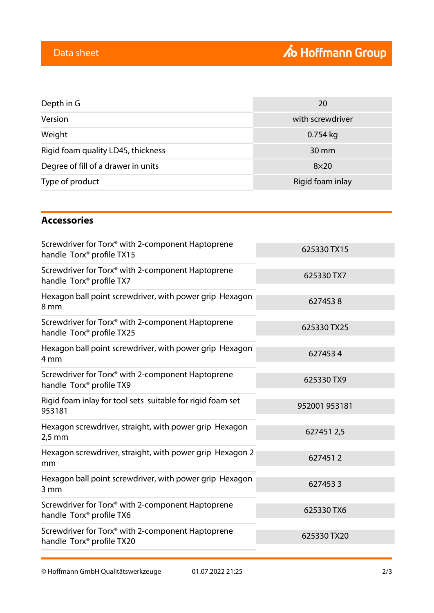| Depth in G                          | 20               |
|-------------------------------------|------------------|
| Version                             | with screwdriver |
| Weight                              | $0.754$ kg       |
| Rigid foam quality LD45, thickness  | 30 mm            |
| Degree of fill of a drawer in units | $8\times20$      |
| Type of product                     | Rigid foam inlay |

## **Accessories**

| Screwdriver for Torx® with 2-component Haptoprene<br>handle Torx <sup>®</sup> profile TX15             | 625330 TX15   |
|--------------------------------------------------------------------------------------------------------|---------------|
| Screwdriver for Torx® with 2-component Haptoprene<br>handle Torx <sup>®</sup> profile TX7              | 625330 TX7    |
| Hexagon ball point screwdriver, with power grip Hexagon<br>8 mm                                        | 6274538       |
| Screwdriver for Torx <sup>®</sup> with 2-component Haptoprene<br>handle Torx <sup>®</sup> profile TX25 | 625330 TX25   |
| Hexagon ball point screwdriver, with power grip Hexagon<br>4 <sub>mm</sub>                             | 6274534       |
| Screwdriver for Torx® with 2-component Haptoprene<br>handle Torx <sup>®</sup> profile TX9              | 625330 TX9    |
| Rigid foam inlay for tool sets suitable for rigid foam set<br>953181                                   | 952001 953181 |
| Hexagon screwdriver, straight, with power grip Hexagon<br>$2,5$ mm                                     | 6274512,5     |
| Hexagon screwdriver, straight, with power grip Hexagon 2<br>mm                                         | 6274512       |
| Hexagon ball point screwdriver, with power grip Hexagon<br>3 mm                                        | 6274533       |
| Screwdriver for Torx <sup>®</sup> with 2-component Haptoprene<br>handle Torx <sup>®</sup> profile TX6  | 625330 TX6    |
| Screwdriver for Torx <sup>®</sup> with 2-component Haptoprene<br>handle Torx <sup>®</sup> profile TX20 | 625330 TX20   |
|                                                                                                        |               |